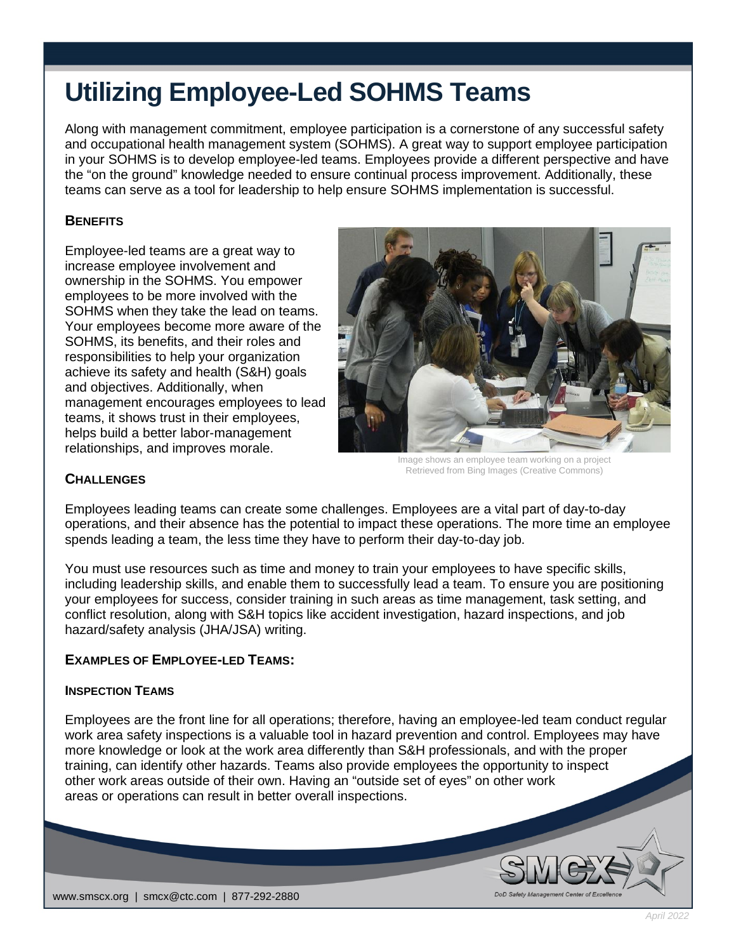# **Utilizing Employee-Led SOHMS Teams**

Along with management commitment, employee participation is a cornerstone of any successful safety and occupational health management system (SOHMS). A great way to support employee participation in your SOHMS is to develop employee-led teams. Employees provide a different perspective and have the "on the ground" knowledge needed to ensure continual process improvement. Additionally, these teams can serve as a tool for leadership to help ensure SOHMS implementation is successful.

## **BENEFITS**

Employee-led teams are a great way to increase employee involvement and ownership in the SOHMS. You empower employees to be more involved with the SOHMS when they take the lead on teams. Your employees become more aware of the SOHMS, its benefits, and their roles and responsibilities to help your organization achieve its safety and health (S&H) goals and objectives. Additionally, when management encourages employees to lead teams, it shows trust in their employees, helps build a better labor-management relationships, and improves morale.



Image shows an employee team working on a project Retrieved from Bing Images (Creative Commons)

## **CHALLENGES**

Employees leading teams can create some challenges. Employees are a vital part of day-to-day operations, and their absence has the potential to impact these operations. The more time an employee spends leading a team, the less time they have to perform their day-to-day job.

You must use resources such as time and money to train your employees to have specific skills, including leadership skills, and enable them to successfully lead a team. To ensure you are positioning your employees for success, consider training in such areas as time management, task setting, and conflict resolution, along with S&H topics like accident investigation, hazard inspections, and job hazard/safety analysis (JHA/JSA) writing.

## **EXAMPLES OF EMPLOYEE-LED TEAMS:**

## **INSPECTION TEAMS**

Employees are the front line for all operations; therefore, having an employee-led team conduct regular work area safety inspections is a valuable tool in hazard prevention and control. Employees may have more knowledge or look at the work area differently than S&H professionals, and with the proper training, can identify other hazards. Teams also provide employees the opportunity to inspect other work areas outside of their own. Having an "outside set of eyes" on other work areas or operations can result in better overall inspections.